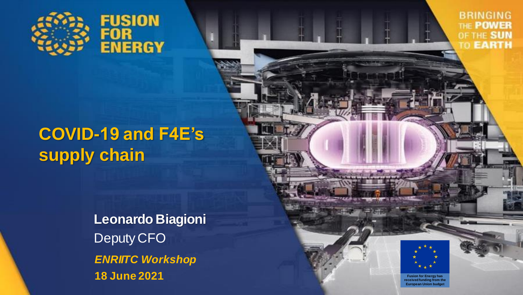

**BRINGING** THE POWER OF THE SUN TO **EARTH** 

## **COVID-19 and F4E's supply chain**

**Leonardo Biagioni** Deputy CFO *ENRIITC Workshop* **18 June 2021**



**Fusion for Energy has received funding from the European Union budget**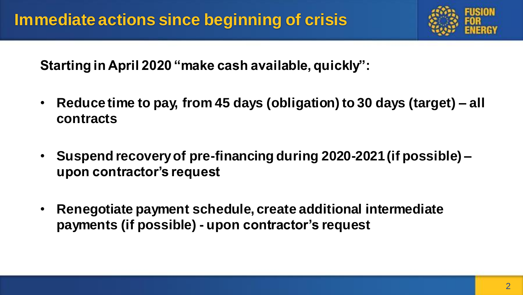

**Starting in April 2020 "make cash available, quickly":**

- **Reduce time to pay, from 45 days (obligation) to 30 days (target) – all contracts**
- **Suspend recovery of pre-financing during 2020-2021 (if possible) – upon contractor's request**
- **Renegotiate payment schedule, create additional intermediate payments (if possible) - upon contractor's request**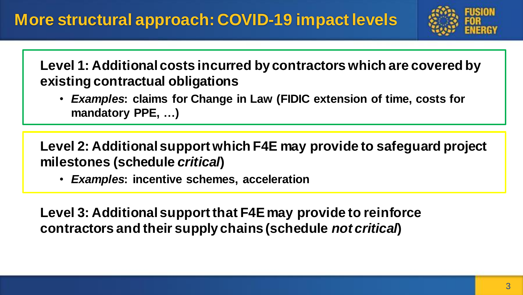

**Level 1: Additional costs incurred by contractors which are covered by existing contractual obligations**

• *Examples***: claims for Change in Law (FIDIC extension of time, costs for mandatory PPE, …)**

**Level 2: Additional support which F4E may provide to safeguard project milestones (schedule** *critical***)**

• *Examples***: incentive schemes, acceleration**

**Level 3: Additional support that F4E may provide to reinforce contractors and their supply chains (schedule** *not critical***)**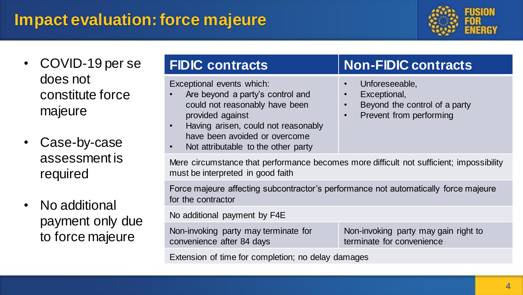#### **Impact evaluation: force majeure**



- COVID-19 per se does not constitute force majeure
- Case-by-case assessment is required
- No additional payment only due to force majeure

Exceptional events which:

- Are beyond a party's control and could not reasonably have been provided against
- Having arisen, could not reasonably have been avoided or overcome
- Not attributable to the other party

#### **FIDIC contracts Non-FIDIC contracts**

- Unforeseeable,
- Exceptional,
- Beyond the control of a party
- Prevent from performing

Mere circumstance that performance becomes more difficult not sufficient; impossibility must be interpreted in good faith

Force majeure affecting subcontractor's performance not automatically force majeure for the contractor

No additional payment by F4E

Non-invoking party may terminate for convenience after 84 days

Non-invoking party may gain right to terminate for convenience

Extension of time for completion; no delay damages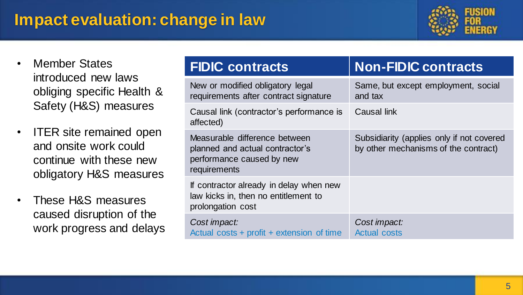#### **Impact evaluation: change in law**



- Member States introduced new laws obliging specific Health & Safety (H&S) measures
- ITER site remained open and onsite work could continue with these new obligatory H&S measures
- These H&S measures caused disruption of the work progress and delays

| <b>FIDIC contracts</b>                                                                                        | <b>Non-FIDIC contracts</b>                                                        |
|---------------------------------------------------------------------------------------------------------------|-----------------------------------------------------------------------------------|
| New or modified obligatory legal<br>requirements after contract signature                                     | Same, but except employment, social<br>and tax                                    |
| Causal link (contractor's performance is<br>affected)                                                         | Causal link                                                                       |
| Measurable difference between<br>planned and actual contractor's<br>performance caused by new<br>requirements | Subsidiarity (applies only if not covered<br>by other mechanisms of the contract) |
| If contractor already in delay when new<br>law kicks in, then no entitlement to<br>prolongation cost          |                                                                                   |
| Cost impact:<br>Actual costs + profit + extension of time                                                     | Cost impact:<br><b>Actual costs</b>                                               |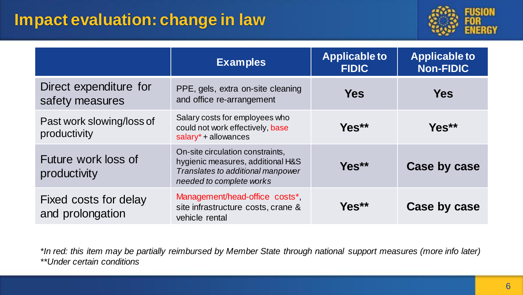#### **Impact evaluation: change in law**



|                                           | <b>Examples</b>                                                                                                                        | <b>Applicable to</b><br><b>FIDIC</b> | <b>Applicable to</b><br><b>Non-FIDIC</b> |  |
|-------------------------------------------|----------------------------------------------------------------------------------------------------------------------------------------|--------------------------------------|------------------------------------------|--|
| Direct expenditure for<br>safety measures | PPE, gels, extra on-site cleaning<br>and office re-arrangement                                                                         | <b>Yes</b>                           | <b>Yes</b>                               |  |
| Past work slowing/loss of<br>productivity | Salary costs for employees who<br>could not work effectively, base<br>$salary* + allowances$                                           | Yes**                                | Yes**                                    |  |
| Future work loss of<br>productivity       | On-site circulation constraints,<br>hygienic measures, additional H&S<br>Translates to additional manpower<br>needed to complete works | Yes**                                | Case by case                             |  |
| Fixed costs for delay<br>and prolongation | Management/head-office costs*,<br>site infrastructure costs, crane &<br>vehicle rental                                                 | $Yes**$                              | Case by case                             |  |

*\*In red: this item may be partially reimbursed by Member State through national support measures (more info later) \*\*Under certain conditions*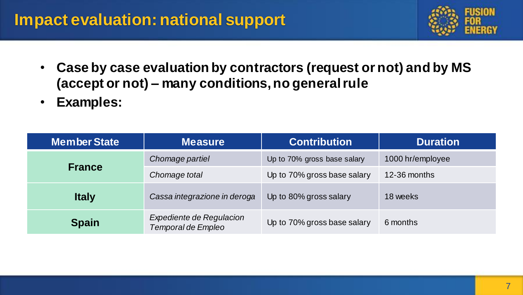#### **Impact evaluation: national support**



- **Case by case evaluation by contractors (request or not) and by MS (accept or not) – many conditions, no general rule**
- **Examples:**

| <b>Member State</b>                                            | <b>Measure</b>               | <b>Contribution</b>         | <b>Duration</b>  |  |
|----------------------------------------------------------------|------------------------------|-----------------------------|------------------|--|
| <b>France</b>                                                  | Chomage partiel              | Up to 70% gross base salary | 1000 hr/employee |  |
|                                                                | Chomage total                | Up to 70% gross base salary | 12-36 months     |  |
| <b>Italy</b>                                                   | Cassa integrazione in deroga | Up to 80% gross salary      | 18 weeks         |  |
| Expediente de Regulacion<br><b>Spain</b><br>Temporal de Empleo |                              | Up to 70% gross base salary | 6 months         |  |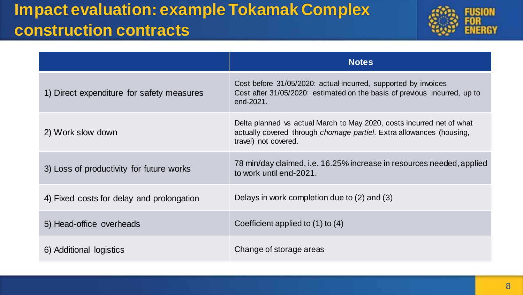### **Impact evaluation: example Tokamak Complex construction contracts**



|                                           | <b>Notes</b>                                                                                                                                                          |
|-------------------------------------------|-----------------------------------------------------------------------------------------------------------------------------------------------------------------------|
| 1) Direct expenditure for safety measures | Cost before 31/05/2020: actual incurred, supported by invoices<br>Cost after 31/05/2020: estimated on the basis of previous incurred, up to<br>end-2021.              |
| 2) Work slow down                         | Delta planned vs actual March to May 2020, costs incurred net of what<br>actually covered through chomage partiel. Extra allowances (housing,<br>travel) not covered. |
| 3) Loss of productivity for future works  | 78 min/day claimed, i.e. 16.25% increase in resources needed, applied<br>to work until end-2021.                                                                      |
| 4) Fixed costs for delay and prolongation | Delays in work completion due to $(2)$ and $(3)$                                                                                                                      |
| 5) Head-office overheads                  | Coefficient applied to (1) to (4)                                                                                                                                     |
| 6) Additional logistics                   | Change of storage areas                                                                                                                                               |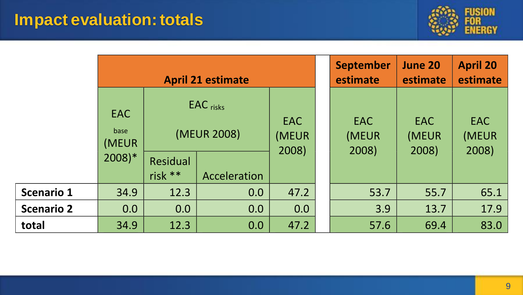#### **Impact evaluation: totals**



|                   | <b>April 21 estimate</b>                           |                                                                   |     | <b>September</b><br>estimate | <b>June 20</b><br>estimate   | <b>April 20</b><br>estimate  |                       |
|-------------------|----------------------------------------------------|-------------------------------------------------------------------|-----|------------------------------|------------------------------|------------------------------|-----------------------|
|                   | <b>EAC</b><br>base<br>(MEUR<br>$2008$ <sup>*</sup> | $EAC$ risks<br>(MEUR 2008)<br>Residual<br>risk **<br>Acceleration |     | <b>EAC</b><br>(MEUR<br>2008) | <b>EAC</b><br>(MEUR<br>2008) | <b>EAC</b><br>(MEUR<br>2008) | EAC<br>(MEUR<br>2008) |
| <b>Scenario 1</b> | 34.9                                               | 12.3                                                              | 0.0 | 47.2                         | 53.7                         | 55.7                         | 65.1                  |
| <b>Scenario 2</b> | 0.0                                                | 0.0                                                               | 0.0 | 0.0                          | 3.9                          | 13.7                         | 17.9                  |
| total             | 34.9                                               | 12.3                                                              | 0.0 | 47.2                         | 57.6                         | 69.4                         | 83.0                  |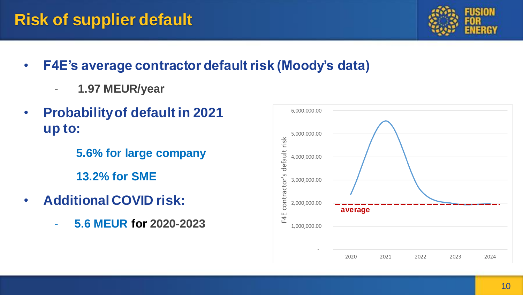### **Risk of supplier default**



- **F4E's average contractor default risk (Moody's data)**
	- **1.97 MEUR/year**
- **Probability of default in 2021 up to:**

**5.6% for large company 13.2% for SME** 

- **Additional COVID risk:**
	- **5.6 MEUR for 2020-2023**